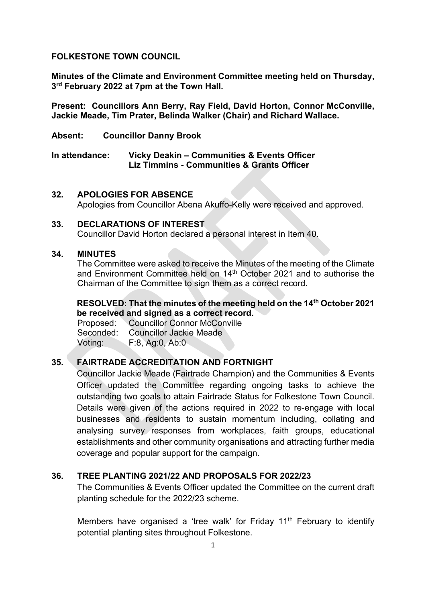#### **FOLKESTONE TOWN COUNCIL**

**Minutes of the Climate and Environment Committee meeting held on Thursday, 3rd February 2022 at 7pm at the Town Hall.**

**Present: Councillors Ann Berry, Ray Field, David Horton, Connor McConville, Jackie Meade, Tim Prater, Belinda Walker (Chair) and Richard Wallace.**

**Absent: Councillor Danny Brook**

**In attendance: Vicky Deakin – Communities & Events Officer Liz Timmins - Communities & Grants Officer**

#### **32. APOLOGIES FOR ABSENCE**

Apologies from Councillor Abena Akuffo-Kelly were received and approved.

### **33. DECLARATIONS OF INTEREST**

Councillor David Horton declared a personal interest in Item 40.

#### **34. MINUTES**

The Committee were asked to receive the Minutes of the meeting of the Climate and Environment Committee held on 14<sup>th</sup> October 2021 and to authorise the Chairman of the Committee to sign them as a correct record.

### **RESOLVED: That the minutes of the meeting held on the 14th October 2021 be received and signed as a correct record.**

Proposed: Councillor Connor McConville Seconded: Councillor Jackie Meade Voting: F:8, Ag:0, Ab:0

### **35. FAIRTRADE ACCREDITATION AND FORTNIGHT**

Councillor Jackie Meade (Fairtrade Champion) and the Communities & Events Officer updated the Committee regarding ongoing tasks to achieve the outstanding two goals to attain Fairtrade Status for Folkestone Town Council. Details were given of the actions required in 2022 to re-engage with local businesses and residents to sustain momentum including, collating and analysing survey responses from workplaces, faith groups, educational establishments and other community organisations and attracting further media coverage and popular support for the campaign.

### **36. TREE PLANTING 2021/22 AND PROPOSALS FOR 2022/23**

The Communities & Events Officer updated the Committee on the current draft planting schedule for the 2022/23 scheme.

Members have organised a 'tree walk' for Friday  $11<sup>th</sup>$  February to identify potential planting sites throughout Folkestone.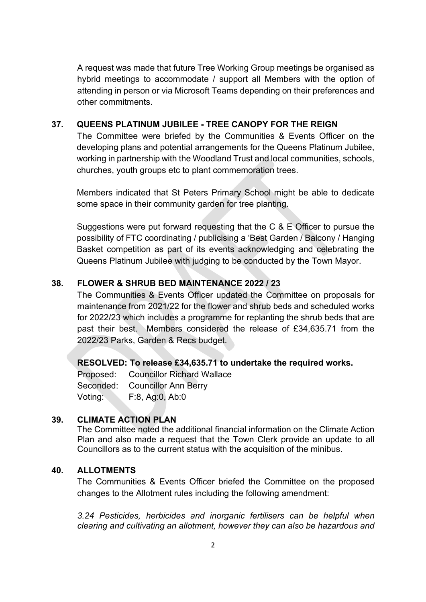A request was made that future Tree Working Group meetings be organised as hybrid meetings to accommodate / support all Members with the option of attending in person or via Microsoft Teams depending on their preferences and other commitments.

### **37. QUEENS PLATINUM JUBILEE - TREE CANOPY FOR THE REIGN**

The Committee were briefed by the Communities & Events Officer on the developing plans and potential arrangements for the Queens Platinum Jubilee, working in partnership with the Woodland Trust and local communities, schools, churches, youth groups etc to plant commemoration trees.

Members indicated that St Peters Primary School might be able to dedicate some space in their community garden for tree planting.

Suggestions were put forward requesting that the C & E Officer to pursue the possibility of FTC coordinating / publicising a 'Best Garden / Balcony / Hanging Basket competition as part of its events acknowledging and celebrating the Queens Platinum Jubilee with judging to be conducted by the Town Mayor.

# **38. FLOWER & SHRUB BED MAINTENANCE 2022 / 23**

The Communities & Events Officer updated the Committee on proposals for maintenance from 2021/22 for the flower and shrub beds and scheduled works for 2022/23 which includes a programme for replanting the shrub beds that are past their best. Members considered the release of £34,635.71 from the 2022/23 Parks, Garden & Recs budget.

### **RESOLVED: To release £34,635.71 to undertake the required works.**

Proposed: Councillor Richard Wallace Seconded: Councillor Ann Berry Voting: F:8, Ag:0, Ab:0

# **39. CLIMATE ACTION PLAN**

The Committee noted the additional financial information on the Climate Action Plan and also made a request that the Town Clerk provide an update to all Councillors as to the current status with the acquisition of the minibus.

### **40. ALLOTMENTS**

The Communities & Events Officer briefed the Committee on the proposed changes to the Allotment rules including the following amendment:

*3.24 Pesticides, herbicides and inorganic fertilisers can be helpful when clearing and cultivating an allotment, however they can also be hazardous and*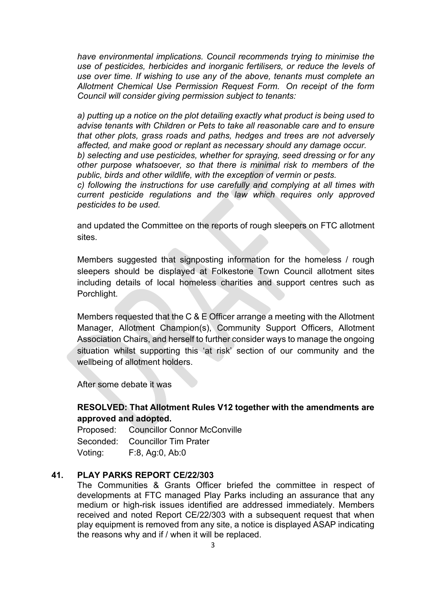*have environmental implications. Council recommends trying to minimise the use of pesticides, herbicides and inorganic fertilisers, or reduce the levels of use over time. If wishing to use any of the above, tenants must complete an Allotment Chemical Use Permission Request Form. On receipt of the form Council will consider giving permission subject to tenants:*

*a) putting up a notice on the plot detailing exactly what product is being used to advise tenants with Children or Pets to take all reasonable care and to ensure that other plots, grass roads and paths, hedges and trees are not adversely affected, and make good or replant as necessary should any damage occur. b) selecting and use pesticides, whether for spraying, seed dressing or for any* 

*other purpose whatsoever, so that there is minimal risk to members of the public, birds and other wildlife, with the exception of vermin or pests.* 

*c) following the instructions for use carefully and complying at all times with current pesticide regulations and the law which requires only approved pesticides to be used.* 

and updated the Committee on the reports of rough sleepers on FTC allotment sites.

Members suggested that signposting information for the homeless / rough sleepers should be displayed at Folkestone Town Council allotment sites including details of local homeless charities and support centres such as Porchlight.

Members requested that the C & E Officer arrange a meeting with the Allotment Manager, Allotment Champion(s), Community Support Officers, Allotment Association Chairs, and herself to further consider ways to manage the ongoing situation whilst supporting this 'at risk' section of our community and the wellbeing of allotment holders.

After some debate it was

# **RESOLVED: That Allotment Rules V12 together with the amendments are approved and adopted.**

Proposed: Councillor Connor McConville Seconded: Councillor Tim Prater Voting: F:8, Ag:0, Ab:0

### **41. PLAY PARKS REPORT CE/22/303**

The Communities & Grants Officer briefed the committee in respect of developments at FTC managed Play Parks including an assurance that any medium or high-risk issues identified are addressed immediately. Members received and noted Report CE/22/303 with a subsequent request that when play equipment is removed from any site, a notice is displayed ASAP indicating the reasons why and if / when it will be replaced.